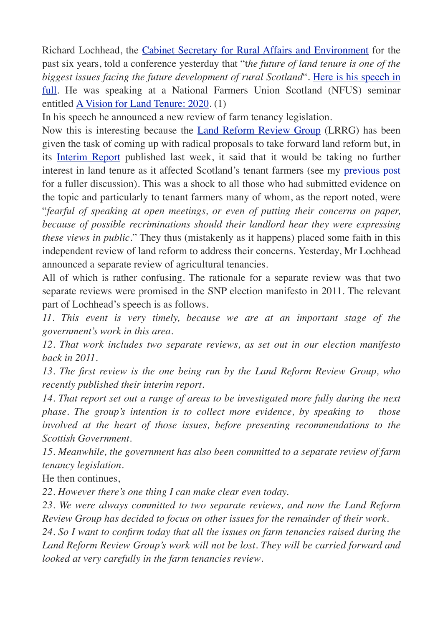Richard Lochhead, the [Cabinet Secretary for Rural Affairs and Environment](http://www.scotland.gov.uk/About/People/14944/Scottish-Cabinet/richardlochheadmsp) for the past six years, told a conference yesterday that "t*he future of land tenure is one of the biggest issues facing the future development of rural Scotland*". [Here is his speech in](http://www.andywightman.com/docs/Lochhead_NFUS%20speech_20130528.pdf) [full](http://www.andywightman.com/docs/Lochhead_NFUS%20speech_20130528.pdf). He was speaking at a National Farmers Union Scotland (NFUS) seminar entitled [A Vision for Land Tenure: 2020.](http://www.nfus.org.uk/news/2013/may/time-think-anew-about-land-tenure-says-nfus) (1)

In his speech he announced a new review of farm tenancy legislation.

Now this is interesting because the [Land Reform Review Group](http://www.scotland.gov.uk/About/Review/land-reform) (LRRG) has been given the task of coming up with radical proposals to take forward land reform but, in its [Interim Report](http://www.scotland.gov.uk/About/Review/land-reform/CallforEvidence/InterimReportLRRG) published last week, it said that it would be taking no further interest in land tenure as it affected Scotland's tenant farmers (see my [previous post](http://www.andywightman.com/?p=2604) for a fuller discussion). This was a shock to all those who had submitted evidence on the topic and particularly to tenant farmers many of whom, as the report noted, were "*fearful of speaking at open meetings, or even of putting their concerns on paper, because of possible recriminations should their landlord hear they were expressing these views in public*." They thus (mistakenly as it happens) placed some faith in this independent review of land reform to address their concerns. Yesterday, Mr Lochhead announced a separate review of agricultural tenancies.

All of which is rather confusing. The rationale for a separate review was that two separate reviews were promised in the SNP election manifesto in 2011. The relevant part of Lochhead's speech is as follows.

*11. This event is very timely, because we are at an important stage of the government's work in this area.*

*12. That work includes two separate reviews, as set out in our election manifesto back in 2011.*

*13. The first review is the one being run by the Land Reform Review Group, who recently published their interim report.*

*14. That report set out a range of areas to be investigated more fully during the next phase. The group's intention is to collect more evidence, by speaking to those involved at the heart of those issues, before presenting recommendations to the Scottish Government.*

*15. Meanwhile, the government has also been committed to a separate review of farm tenancy legislation.*

He then continues,

*22. However there's one thing I can make clear even today.*

*23. We were always committed to two separate reviews, and now the Land Reform Review Group has decided to focus on other issues for the remainder of their work.*

*24. So I want to confirm today that all the issues on farm tenancies raised during the Land Reform Review Group's work will not be lost. They will be carried forward and looked at very carefully in the farm tenancies review*.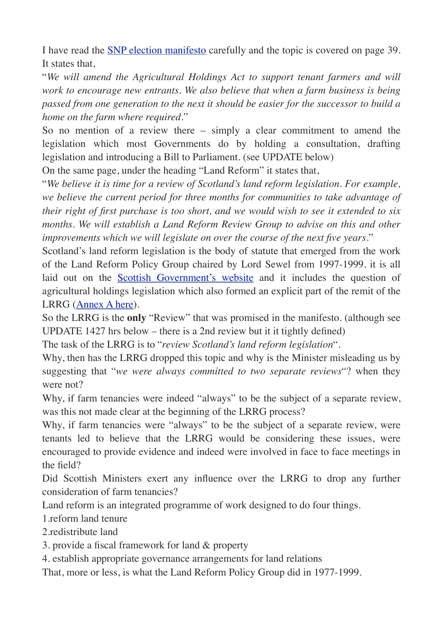I have read the [SNP election manifesto](http://www.andywightman.com/docs/SNP_Manifesto_2011.pdf) carefully and the topic is covered on page 39. It states that,

"*We will amend the Agricultural Holdings Act to support tenant farmers and will work to encourage new entrants. We also believe that when a farm business is being passed from one generation to the next it should be easier for the successor to build a home on the farm where required*."

So no mention of a review there – simply a clear commitment to amend the legislation which most Governments do by holding a consultation, drafting legislation and introducing a Bill to Parliament. (see UPDATE below)

On the same page, under the heading "Land Reform" it states that,

"*We believe it is time for a review of Scotland's land reform legislation. For example, we believe the current period for three months for communities to take advantage of their right of first purchase is too short, and we would wish to see it extended to six months. We will establish a Land Reform Review Group to advise on this and other improvements which we will legislate on over the course of the next five years*."

Scotland's land reform legislation is the body of statute that emerged from the work of the Land Reform Policy Group chaired by Lord Sewel from 1997-1999. it is all laid out on the [Scottish Government's website](http://www.scotland.gov.uk/Topics/farmingrural/Rural/rural-land/right-to-buy/Resources/Land-Reform) and it includes the question of agricultural holdings legislation which also formed an explicit part of the remit of the LRRG [\(Annex A here](http://www.scotland.gov.uk/Resource/0040/00404428.pdf)).

So the LRRG is the **only** "Review" that was promised in the manifesto. (although see UPDATE 1427 hrs below – there is a 2nd review but it it tightly defined)

The task of the LRRG is to "*review Scotland's land reform legislation*".

Why, then has the LRRG dropped this topic and why is the Minister misleading us by suggesting that "*we were always committed to two separate reviews*"? when they were not?

Why, if farm tenancies were indeed "always" to be the subject of a separate review, was this not made clear at the beginning of the LRRG process?

Why, if farm tenancies were "always" to be the subject of a separate review, were tenants led to believe that the LRRG would be considering these issues, were encouraged to provide evidence and indeed were involved in face to face meetings in the field?

Did Scottish Ministers exert any influence over the LRRG to drop any further consideration of farm tenancies?

Land reform is an integrated programme of work designed to do four things.

1.reform land tenure

2.redistribute land

3. provide a fiscal framework for land & property

4. establish appropriate governance arrangements for land relations

That, more or less, is what the Land Reform Policy Group did in 1977-1999.